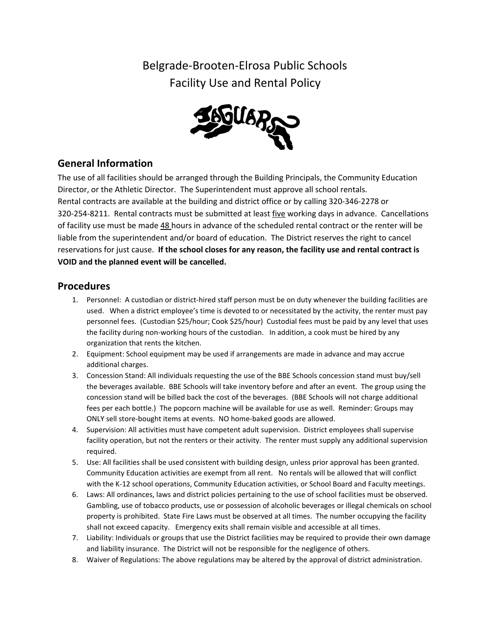Belgrade-Brooten-Elrosa Public Schools Facility Use and Rental Policy



## **General Information**

The use of all facilities should be arranged through the Building Principals, the Community Education Director, or the Athletic Director. The Superintendent must approve all school rentals. Rental contracts are available at the building and district office or by calling 320-346-2278 or 320-254-8211. Rental contracts must be submitted at least five working days in advance. Cancellations of facility use must be made 48 hours in advance of the scheduled rental contract or the renter will be liable from the superintendent and/or board of education. The District reserves the right to cancel reservations for just cause. **If the school closes for any reason, the facility use and rental contract is VOID and the planned event will be cancelled.**

## **Procedures**

- 1. Personnel: A custodian or district-hired staff person must be on duty whenever the building facilities are used. When a district employee's time is devoted to or necessitated by the activity, the renter must pay personnel fees. (Custodian \$25/hour; Cook \$25/hour) Custodial fees must be paid by any level that uses the facility during non-working hours of the custodian. In addition, a cook must be hired by any organization that rents the kitchen.
- 2. Equipment: School equipment may be used if arrangements are made in advance and may accrue additional charges.
- 3. Concession Stand: All individuals requesting the use of the BBE Schools concession stand must buy/sell the beverages available. BBE Schools will take inventory before and after an event. The group using the concession stand will be billed back the cost of the beverages. (BBE Schools will not charge additional fees per each bottle.) The popcorn machine will be available for use as well. Reminder: Groups may ONLY sell store-bought items at events. NO home-baked goods are allowed.
- 4. Supervision: All activities must have competent adult supervision. District employees shall supervise facility operation, but not the renters or their activity. The renter must supply any additional supervision required.
- 5. Use: All facilities shall be used consistent with building design, unless prior approval has been granted. Community Education activities are exempt from all rent. No rentals will be allowed that will conflict with the K-12 school operations, Community Education activities, or School Board and Faculty meetings.
- 6. Laws: All ordinances, laws and district policies pertaining to the use of school facilities must be observed. Gambling, use of tobacco products, use or possession of alcoholic beverages or illegal chemicals on school property is prohibited. State Fire Laws must be observed at all times. The number occupying the facility shall not exceed capacity. Emergency exits shall remain visible and accessible at all times.
- 7. Liability: Individuals or groups that use the District facilities may be required to provide their own damage and liability insurance. The District will not be responsible for the negligence of others.
- 8. Waiver of Regulations: The above regulations may be altered by the approval of district administration.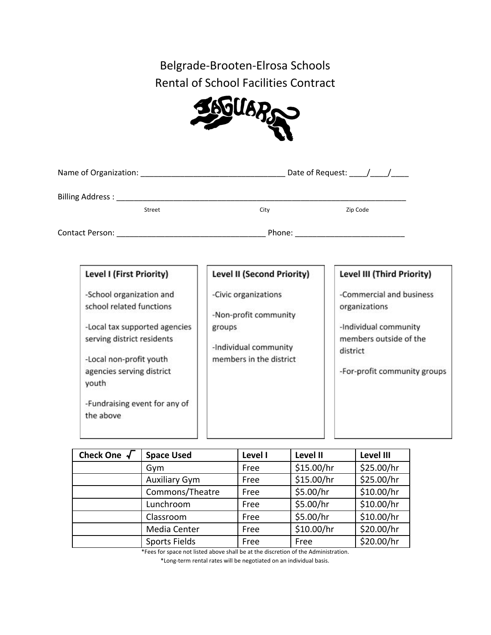Belgrade-Brooten-Elrosa Schools Rental of School Facilities Contract



| Name of Organization: Name of Organization           |                                                 | Date of Request: $\frac{1}{\sqrt{2}}$     |  |
|------------------------------------------------------|-------------------------------------------------|-------------------------------------------|--|
| Billing Address:                                     |                                                 |                                           |  |
| Street                                               | City                                            | Zip Code                                  |  |
| <b>Contact Person:</b>                               | Phone:                                          |                                           |  |
| Level I (First Priority)                             | <b>Level II (Second Priority)</b>               | Level III (Third Priority)                |  |
| -School organization and<br>school related functions | -Civic organizations<br><b>STERN CONTRACTOR</b> | -Commercial and business<br>organizations |  |

-Non-profit community groups

-Individual community

members in the district

-Local tax supported agencies

serving district residents

-Local non-profit youth

agencies serving district

-Fundraising event for any of

youth

the above

organizations

-Individual community members outside of the district

-For-profit community groups

 **Check One** √ **Space Used Level I Level II Level III** Gym | Free | \$15.00/hr | \$25.00/hr Auxiliary Gym  $\vert$  Free  $\vert$  \$15.00/hr  $\vert$  \$25.00/hr  $Commons/Theta$  | Free  $\frac{1}{5}$ .00/hr  $\frac{1}{5}$ .00/hr Lunchroom Free  $\frac{1}{5}$ .00/hr  $\frac{1}{2}$ .000/hr  $\text{Classroom}$  | Free | \$5.00/hr | \$10.00/hr Media Center  $\vert$  Free  $\vert$  \$10.00/hr  $\vert$  \$20.00/hr Sports Fields Free Free \$20.00/hr

\*Fees for space not listed above shall be at the discretion of the Administration.

\*Long-term rental rates will be negotiated on an individual basis.